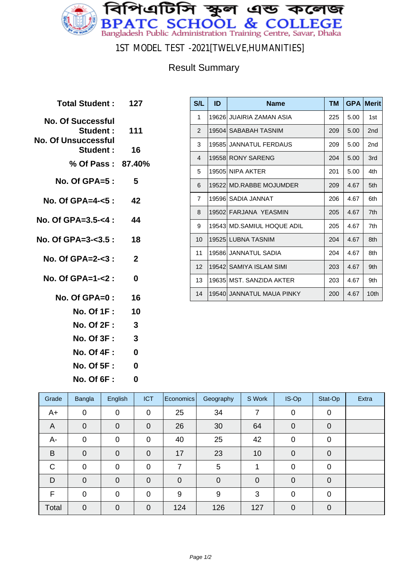

1ST MODEL TEST -2021[TWELVE,HUMANITIES]

## Result Summary

| Total Student: 127                                           |                         |
|--------------------------------------------------------------|-------------------------|
| <b>No. Of Successful</b><br>Student :<br>No. Of Unsuccessful | 111                     |
| Student :                                                    | 16                      |
| % Of Pass: 87.40%                                            |                         |
| No. Of GPA=5 :                                               | 5                       |
| No. Of GPA=4-<5 : 42                                         |                         |
| No. Of GPA=3.5-<4 :                                          | 44                      |
| No. Of GPA=3-<3.5 : 18                                       |                         |
| No. Of GPA=2-<3 :                                            | $\mathbf{2}$            |
| No. Of GPA=1-<2 :                                            | 0                       |
| No. Of GPA=0 :                                               | 16                      |
| <b>No. Of 1F :</b>                                           | 10                      |
| <b>No. Of 2F:</b>                                            | -3                      |
| <b>No. Of 3F:</b>                                            | $\overline{\mathbf{3}}$ |
| <b>No. Of 4F :</b>                                           | 0                       |
| <b>No. Of 5F :</b>                                           | 0                       |

**No. Of 6F : 0**

| S/L            | ID    | <b>Name</b>                | <b>TM</b> | <b>GPA</b> | <b>Merit</b> |
|----------------|-------|----------------------------|-----------|------------|--------------|
| 1              |       | 19626 JUAIRIA ZAMAN ASIA   | 225       | 5.00       | 1st          |
| 2              | 19504 | SABABAH TASNIM             | 209       | 5.00       | 2nd          |
| 3              |       | 19585 JANNATUL FERDAUS     | 209       | 5.00       | 2nd          |
| 4              |       | 19558 RONY SARENG          | 204       | 5.00       | 3rd          |
| 5              |       | 19505 NIPA AKTER           | 201       | 5.00       | 4th          |
| 6              |       | 19522 MD.RABBE MOJUMDER    | 209       | 4.67       | 5th          |
| $\overline{7}$ |       | 19596  SADIA JANNAT        | 206       | 4.67       | 6th          |
| 8              |       | 19502 FARJANA YEASMIN      | 205       | 4.67       | 7th          |
| 9              |       | 19543 MD.SAMIUL HOQUE ADIL | 205       | 4.67       | 7th          |
| 10             |       | 19525 LUBNA TASNIM         | 204       | 4.67       | 8th          |
| 11             |       | 19586 JANNATUL SADIA       | 204       | 4.67       | 8th          |
| 12             |       | 19542  SAMIYA ISLAM SIMI   | 203       | 4.67       | 9th          |
| 13             |       | 19635 MST, SANZIDA AKTER   | 203       | 4.67       | 9th          |
| 14             |       | 19540 JANNATUL MAUA PINKY  | 200       | 4.67       | 10th         |

| Grade          | <b>Bangla</b> | English        | <b>ICT</b>     | Economics   | Geography      | S Work      | IS-Op       | Stat-Op     | Extra |
|----------------|---------------|----------------|----------------|-------------|----------------|-------------|-------------|-------------|-------|
| A+             | $\mathbf 0$   | 0              | $\mathbf 0$    | 25          | 34             |             | 0           | 0           |       |
| $\overline{A}$ | $\mathbf 0$   | 0              | $\overline{0}$ | 26          | 30             | 64          | 0           | 0           |       |
| A-             | $\mathbf 0$   | 0              | 0              | 40          | 25             | 42          | $\mathbf 0$ | 0           |       |
| B              | $\mathbf 0$   | $\overline{0}$ | $\overline{0}$ | 17          | 23             | 10          | $\mathbf 0$ | $\Omega$    |       |
| $\mathsf{C}$   | 0             | 0              | $\overline{0}$ | 7           | 5              |             | $\mathbf 0$ | $\mathbf 0$ |       |
| D              | $\mathbf 0$   | 0              | $\overline{0}$ | $\mathbf 0$ | $\overline{0}$ | $\mathbf 0$ | 0           | $\Omega$    |       |
| F              | $\mathbf 0$   | $\overline{0}$ | $\Omega$       | 9           | 9              | 3           | 0           | $\Omega$    |       |
| Total          | $\mathbf 0$   | $\overline{0}$ | $\overline{0}$ | 124         | 126            | 127         | $\mathbf 0$ | $\Omega$    |       |